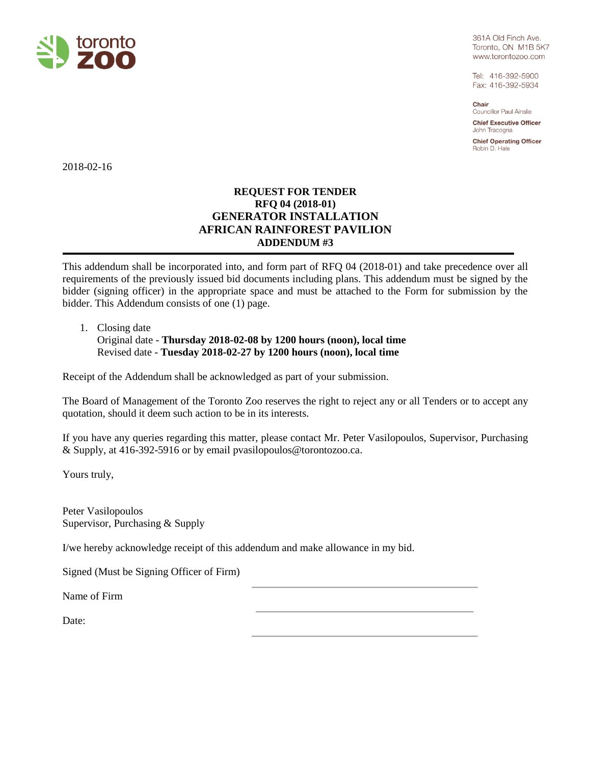

361A Old Finch Ave. Toronto, ON M1B 5K7 www.torontozoo.com

Tel: 416-392-5900 Fax: 416-392-5934

Chair Councillor Paul Ainslie

**Chief Executive Officer** John Tracogna

**Chief Operating Officer** Robin D. Hale

2018-02-16

## **REQUEST FOR TENDER RFQ 04 (2018-01) GENERATOR INSTALLATION AFRICAN RAINFOREST PAVILION ADDENDUM #3**

This addendum shall be incorporated into, and form part of RFQ 04 (2018-01) and take precedence over all requirements of the previously issued bid documents including plans. This addendum must be signed by the bidder (signing officer) in the appropriate space and must be attached to the Form for submission by the bidder. This Addendum consists of one (1) page.

1. Closing date

Original date - **Thursday 2018-02-08 by 1200 hours (noon), local time** Revised date - **Tuesday 2018-02-27 by 1200 hours (noon), local time**

Receipt of the Addendum shall be acknowledged as part of your submission.

The Board of Management of the Toronto Zoo reserves the right to reject any or all Tenders or to accept any quotation, should it deem such action to be in its interests.

If you have any queries regarding this matter, please contact Mr. Peter Vasilopoulos, Supervisor, Purchasing & Supply, at 416-392-5916 or by email pvasilopoulos@torontozoo.ca.

Yours truly,

Peter Vasilopoulos Supervisor, Purchasing & Supply

I/we hereby acknowledge receipt of this addendum and make allowance in my bid.

Signed (Must be Signing Officer of Firm)

Name of Firm

Date: